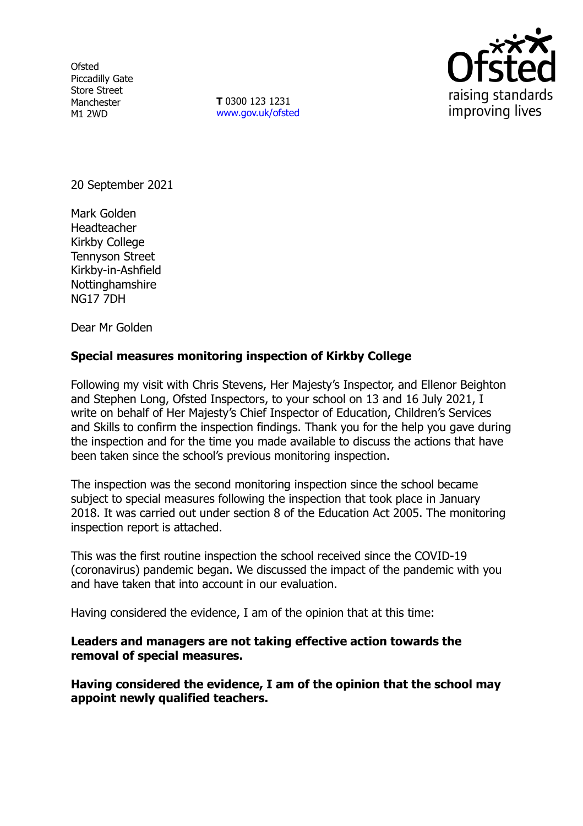**Ofsted** Piccadilly Gate Store Street Manchester M1 2WD

**T** 0300 123 1231 [www.gov.uk/ofsted](http://www.gov.uk/ofsted)



20 September 2021

Mark Golden Headteacher Kirkby College Tennyson Street Kirkby-in-Ashfield Nottinghamshire NG17 7DH

Dear Mr Golden

# **Special measures monitoring inspection of Kirkby College**

Following my visit with Chris Stevens, Her Majesty's Inspector, and Ellenor Beighton and Stephen Long, Ofsted Inspectors, to your school on 13 and 16 July 2021, I write on behalf of Her Majesty's Chief Inspector of Education, Children's Services and Skills to confirm the inspection findings. Thank you for the help you gave during the inspection and for the time you made available to discuss the actions that have been taken since the school's previous monitoring inspection.

The inspection was the second monitoring inspection since the school became subject to special measures following the inspection that took place in January 2018. It was carried out under section 8 of the Education Act 2005. The monitoring inspection report is attached.

This was the first routine inspection the school received since the COVID-19 (coronavirus) pandemic began. We discussed the impact of the pandemic with you and have taken that into account in our evaluation.

Having considered the evidence, I am of the opinion that at this time:

**Leaders and managers are not taking effective action towards the removal of special measures.**

**Having considered the evidence, I am of the opinion that the school may appoint newly qualified teachers.**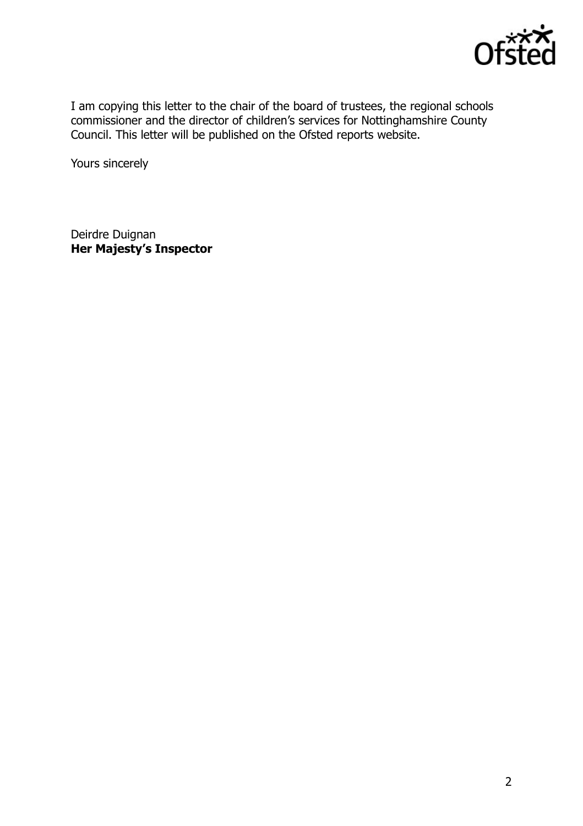

I am copying this letter to the chair of the board of trustees, the regional schools commissioner and the director of children's services for Nottinghamshire County Council. This letter will be published on the Ofsted reports website.

Yours sincerely

Deirdre Duignan **Her Majesty's Inspector**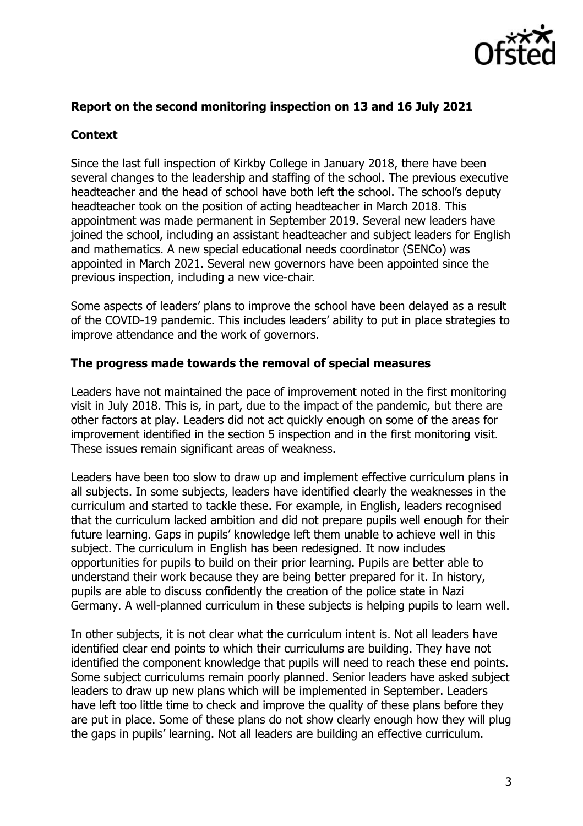

### **Report on the second monitoring inspection on 13 and 16 July 2021**

### **Context**

Since the last full inspection of Kirkby College in January 2018, there have been several changes to the leadership and staffing of the school. The previous executive headteacher and the head of school have both left the school. The school's deputy headteacher took on the position of acting headteacher in March 2018. This appointment was made permanent in September 2019. Several new leaders have joined the school, including an assistant headteacher and subject leaders for English and mathematics. A new special educational needs coordinator (SENCo) was appointed in March 2021. Several new governors have been appointed since the previous inspection, including a new vice-chair.

Some aspects of leaders' plans to improve the school have been delayed as a result of the COVID-19 pandemic. This includes leaders' ability to put in place strategies to improve attendance and the work of governors.

#### **The progress made towards the removal of special measures**

Leaders have not maintained the pace of improvement noted in the first monitoring visit in July 2018. This is, in part, due to the impact of the pandemic, but there are other factors at play. Leaders did not act quickly enough on some of the areas for improvement identified in the section 5 inspection and in the first monitoring visit. These issues remain significant areas of weakness.

Leaders have been too slow to draw up and implement effective curriculum plans in all subjects. In some subjects, leaders have identified clearly the weaknesses in the curriculum and started to tackle these. For example, in English, leaders recognised that the curriculum lacked ambition and did not prepare pupils well enough for their future learning. Gaps in pupils' knowledge left them unable to achieve well in this subject. The curriculum in English has been redesigned. It now includes opportunities for pupils to build on their prior learning. Pupils are better able to understand their work because they are being better prepared for it. In history, pupils are able to discuss confidently the creation of the police state in Nazi Germany. A well-planned curriculum in these subjects is helping pupils to learn well.

In other subjects, it is not clear what the curriculum intent is. Not all leaders have identified clear end points to which their curriculums are building. They have not identified the component knowledge that pupils will need to reach these end points. Some subject curriculums remain poorly planned. Senior leaders have asked subject leaders to draw up new plans which will be implemented in September. Leaders have left too little time to check and improve the quality of these plans before they are put in place. Some of these plans do not show clearly enough how they will plug the gaps in pupils' learning. Not all leaders are building an effective curriculum.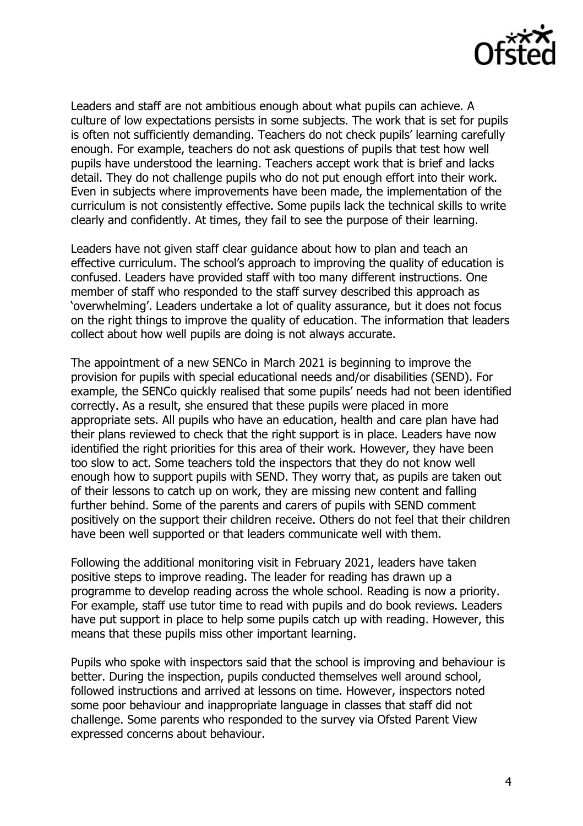

Leaders and staff are not ambitious enough about what pupils can achieve. A culture of low expectations persists in some subjects. The work that is set for pupils is often not sufficiently demanding. Teachers do not check pupils' learning carefully enough. For example, teachers do not ask questions of pupils that test how well pupils have understood the learning. Teachers accept work that is brief and lacks detail. They do not challenge pupils who do not put enough effort into their work. Even in subjects where improvements have been made, the implementation of the curriculum is not consistently effective. Some pupils lack the technical skills to write clearly and confidently. At times, they fail to see the purpose of their learning.

Leaders have not given staff clear guidance about how to plan and teach an effective curriculum. The school's approach to improving the quality of education is confused. Leaders have provided staff with too many different instructions. One member of staff who responded to the staff survey described this approach as 'overwhelming'. Leaders undertake a lot of quality assurance, but it does not focus on the right things to improve the quality of education. The information that leaders collect about how well pupils are doing is not always accurate.

The appointment of a new SENCo in March 2021 is beginning to improve the provision for pupils with special educational needs and/or disabilities (SEND). For example, the SENCo quickly realised that some pupils' needs had not been identified correctly. As a result, she ensured that these pupils were placed in more appropriate sets. All pupils who have an education, health and care plan have had their plans reviewed to check that the right support is in place. Leaders have now identified the right priorities for this area of their work. However, they have been too slow to act. Some teachers told the inspectors that they do not know well enough how to support pupils with SEND. They worry that, as pupils are taken out of their lessons to catch up on work, they are missing new content and falling further behind. Some of the parents and carers of pupils with SEND comment positively on the support their children receive. Others do not feel that their children have been well supported or that leaders communicate well with them.

Following the additional monitoring visit in February 2021, leaders have taken positive steps to improve reading. The leader for reading has drawn up a programme to develop reading across the whole school. Reading is now a priority. For example, staff use tutor time to read with pupils and do book reviews. Leaders have put support in place to help some pupils catch up with reading. However, this means that these pupils miss other important learning.

Pupils who spoke with inspectors said that the school is improving and behaviour is better. During the inspection, pupils conducted themselves well around school, followed instructions and arrived at lessons on time. However, inspectors noted some poor behaviour and inappropriate language in classes that staff did not challenge. Some parents who responded to the survey via Ofsted Parent View expressed concerns about behaviour.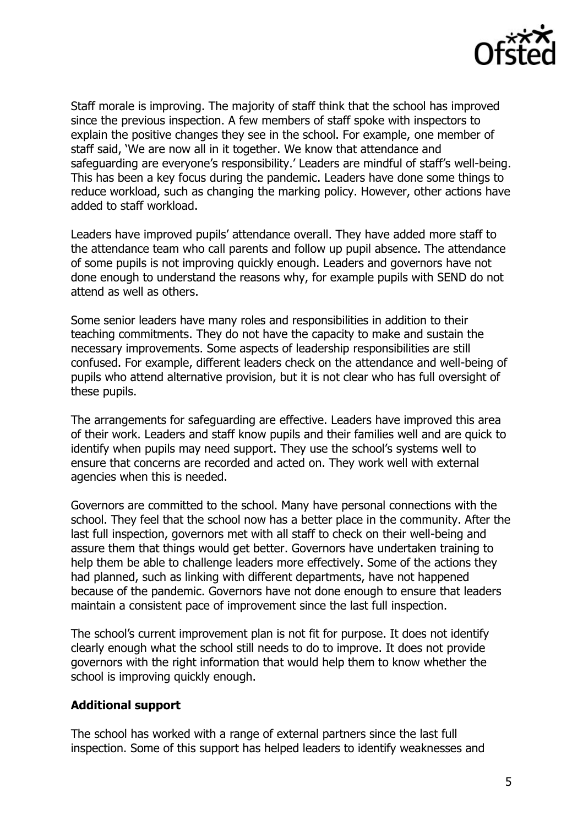

Staff morale is improving. The majority of staff think that the school has improved since the previous inspection. A few members of staff spoke with inspectors to explain the positive changes they see in the school. For example, one member of staff said, 'We are now all in it together. We know that attendance and safeguarding are everyone's responsibility.' Leaders are mindful of staff's well-being. This has been a key focus during the pandemic. Leaders have done some things to reduce workload, such as changing the marking policy. However, other actions have added to staff workload.

Leaders have improved pupils' attendance overall. They have added more staff to the attendance team who call parents and follow up pupil absence. The attendance of some pupils is not improving quickly enough. Leaders and governors have not done enough to understand the reasons why, for example pupils with SEND do not attend as well as others.

Some senior leaders have many roles and responsibilities in addition to their teaching commitments. They do not have the capacity to make and sustain the necessary improvements. Some aspects of leadership responsibilities are still confused. For example, different leaders check on the attendance and well-being of pupils who attend alternative provision, but it is not clear who has full oversight of these pupils.

The arrangements for safeguarding are effective. Leaders have improved this area of their work. Leaders and staff know pupils and their families well and are quick to identify when pupils may need support. They use the school's systems well to ensure that concerns are recorded and acted on. They work well with external agencies when this is needed.

Governors are committed to the school. Many have personal connections with the school. They feel that the school now has a better place in the community. After the last full inspection, governors met with all staff to check on their well-being and assure them that things would get better. Governors have undertaken training to help them be able to challenge leaders more effectively. Some of the actions they had planned, such as linking with different departments, have not happened because of the pandemic. Governors have not done enough to ensure that leaders maintain a consistent pace of improvement since the last full inspection.

The school's current improvement plan is not fit for purpose. It does not identify clearly enough what the school still needs to do to improve. It does not provide governors with the right information that would help them to know whether the school is improving quickly enough.

# **Additional support**

The school has worked with a range of external partners since the last full inspection. Some of this support has helped leaders to identify weaknesses and